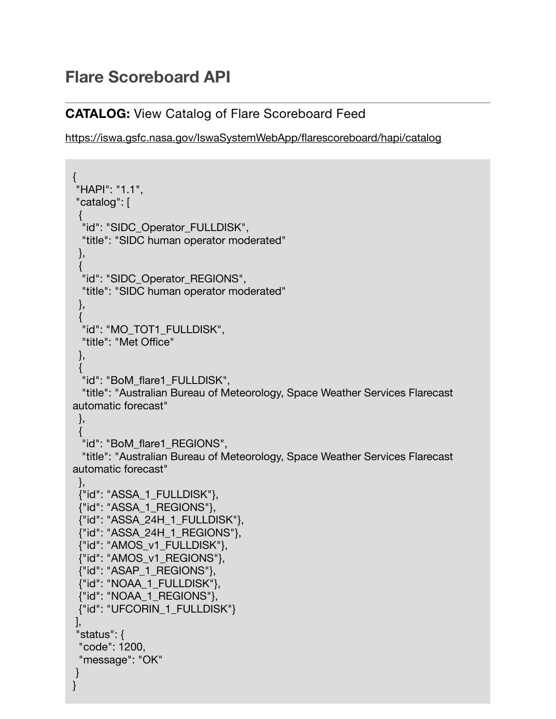## **Flare Scoreboard API**

## **CATALOG:** View Catalog of Flare Scoreboard Feed

<https://iswa.gsfc.nasa.gov/IswaSystemWebApp/flarescoreboard/hapi/catalog>

```
{
 "HAPI": "1.1",
 "catalog": [
 {
  "id": "SIDC_Operator_FULLDISK",
  "title": "SIDC human operator moderated"
  },
 {
  "id": "SIDC_Operator_REGIONS",
  "title": "SIDC human operator moderated"
 },
 {
  "id": "MO_TOT1_FULLDISK",
  "title": "Met Office"
  },
 {
  "id": "BoM_flare1_FULLDISK",
  "title": "Australian Bureau of Meteorology, Space Weather Services Flarecast 
automatic forecast"
  },
 {
  "id": "BoM_flare1_REGIONS",
  "title": "Australian Bureau of Meteorology, Space Weather Services Flarecast 
automatic forecast"
  },
  {"id": "ASSA_1_FULLDISK"},
  {"id": "ASSA_1_REGIONS"},
  {"id": "ASSA_24H_1_FULLDISK"},
  {"id": "ASSA_24H_1_REGIONS"},
  {"id": "AMOS_v1_FULLDISK"},
  {"id": "AMOS_v1_REGIONS"},
  {"id": "ASAP_1_REGIONS"},
  {"id": "NOAA_1_FULLDISK"},
  {"id": "NOAA_1_REGIONS"},
  {"id": "UFCORIN_1_FULLDISK"}
 ],
 "status": {
  "code": 1200,
  "message": "OK"
 }
}
```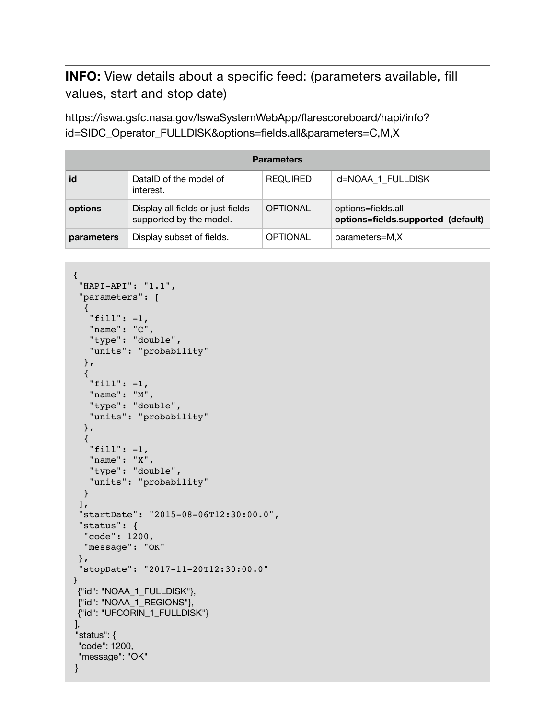**INFO:** View details about a specific feed: (parameters available, fill values, start and stop date)

[https://iswa.gsfc.nasa.gov/IswaSystemWebApp/flarescoreboard/hapi/info?](https://iswa.gsfc.nasa.gov/IswaSystemWebApp/flarescoreboard/hapi/info?id=SIDC_Operator_FULLDISK&options=fields.all¶meters=C,M,X) [id=SIDC\\_Operator\\_FULLDISK&options=fields.all&parameters=C,M,X](https://iswa.gsfc.nasa.gov/IswaSystemWebApp/flarescoreboard/hapi/info?id=SIDC_Operator_FULLDISK&options=fields.all¶meters=C,M,X)

| <b>Parameters</b> |                                                              |                 |                                                          |  |  |
|-------------------|--------------------------------------------------------------|-----------------|----------------------------------------------------------|--|--|
| id                | DatalD of the model of<br>interest.                          | <b>REQUIRED</b> | id=NOAA 1 FULLDISK                                       |  |  |
| options           | Display all fields or just fields<br>supported by the model. | <b>OPTIONAL</b> | options=fields.all<br>options=fields.supported (default) |  |  |
| parameters        | Display subset of fields.                                    | OPTIONAL        | parameters=M,X                                           |  |  |

```
{
  "HAPI-API": "1.1",
  "parameters": [
   {
    "fill": -1,
    "name": "C",
    "type": "double",
    "units": "probability"
   },
   {
    "fill": -1,
    "name": "M",
    "type": "double",
    "units": "probability"
   },
   {
    "fill": -1,
    "name": "X",
    "type": "double",
    "units": "probability"
   }
 \mathbf{I},
  "startDate": "2015-08-06T12:30:00.0",
  "status": {
   "code": 1200,
   "message": "OK"
  },
  "stopDate": "2017-11-20T12:30:00.0"
}
 {"id": "NOAA_1_FULLDISK"},
 {"id": "NOAA_1_REGIONS"},
 {"id": "UFCORIN_1_FULLDISK"}
 ],
 "status": {
 "code": 1200,
  "message": "OK"
 }
```